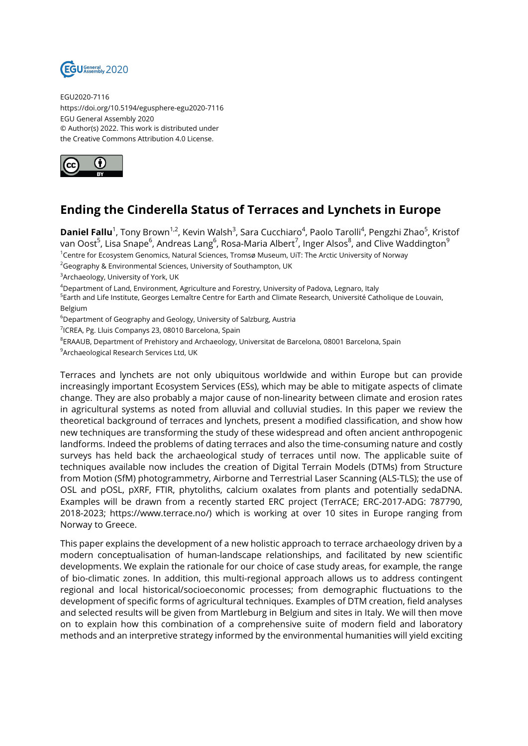

EGU2020-7116 https://doi.org/10.5194/egusphere-egu2020-7116 EGU General Assembly 2020 © Author(s) 2022. This work is distributed under the Creative Commons Attribution 4.0 License.



## **Ending the Cinderella Status of Terraces and Lynchets in Europe**

**Daniel Fallu**<sup>1</sup>, Tony Brown<sup>1,2</sup>, Kevin Walsh<sup>3</sup>, Sara Cucchiaro<sup>4</sup>, Paolo Tarolli<sup>4</sup>, Pengzhi Zhao<sup>5</sup>, Kristof van Oost<sup>5</sup>, Lisa Snape<sup>6</sup>, Andreas Lang<sup>6</sup>, Rosa-Maria Albert<sup>7</sup>, Inger Alsos<sup>8</sup>, and Clive Waddington<sup>9</sup> <sup>1</sup>Centre for Ecosystem Genomics, Natural Sciences, Tromsø Museum, UiT: The Arctic University of Norway

<sup>2</sup>Geography & Environmental Sciences, University of Southampton, UK

<sup>3</sup>Archaeology, University of York, UK

<sup>4</sup>Department of Land, Environment, Agriculture and Forestry, University of Padova, Legnaro, Italy

<sup>5</sup>Earth and Life Institute, Georges Lemaître Centre for Earth and Climate Research, Université Catholique de Louvain, Belgium

<sup>6</sup>Department of Geography and Geology, University of Salzburg, Austria

<sup>7</sup>ICREA, Pg. Lluis Companys 23, 08010 Barcelona, Spain

 $^8$ ERAAUB, Department of Prehistory and Archaeology, Universitat de Barcelona, 08001 Barcelona, Spain

<sup>9</sup> Archaeological Research Services Ltd, UK

Terraces and lynchets are not only ubiquitous worldwide and within Europe but can provide increasingly important Ecosystem Services (ESs), which may be able to mitigate aspects of climate change. They are also probably a major cause of non-linearity between climate and erosion rates in agricultural systems as noted from alluvial and colluvial studies. In this paper we review the theoretical background of terraces and lynchets, present a modified classification, and show how new techniques are transforming the study of these widespread and often ancient anthropogenic landforms. Indeed the problems of dating terraces and also the time-consuming nature and costly surveys has held back the archaeological study of terraces until now. The applicable suite of techniques available now includes the creation of Digital Terrain Models (DTMs) from Structure from Motion (SfM) photogrammetry, Airborne and Terrestrial Laser Scanning (ALS-TLS); the use of OSL and pOSL, pXRF, FTIR, phytoliths, calcium oxalates from plants and potentially sedaDNA. Examples will be drawn from a recently started ERC project (TerrACE; ERC-2017-ADG: 787790, 2018-2023; https://www.terrace.no/) which is working at over 10 sites in Europe ranging from Norway to Greece.

This paper explains the development of a new holistic approach to terrace archaeology driven by a modern conceptualisation of human-landscape relationships, and facilitated by new scientific developments. We explain the rationale for our choice of case study areas, for example, the range of bio-climatic zones. In addition, this multi-regional approach allows us to address contingent regional and local historical/socioeconomic processes; from demographic fluctuations to the development of specific forms of agricultural techniques. Examples of DTM creation, field analyses and selected results will be given from Martleburg in Belgium and sites in Italy. We will then move on to explain how this combination of a comprehensive suite of modern field and laboratory methods and an interpretive strategy informed by the environmental humanities will yield exciting